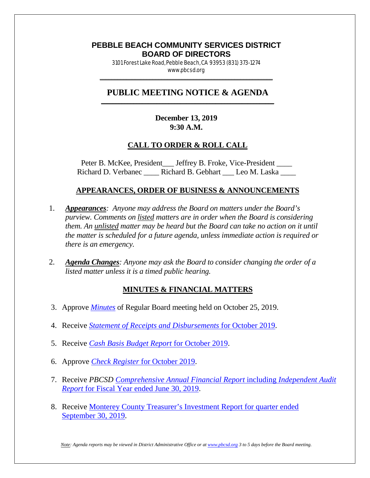## **PEBBLE BEACH COMMUNITY SERVICES DISTRICT BOARD OF DIRECTORS**

3101 Forest Lake Road, Pebble Beach, CA 93953 (831) 373-1274 www.pbcsd.org  $\frac{1}{2}$  ,  $\frac{1}{2}$  ,  $\frac{1}{2}$  ,  $\frac{1}{2}$  ,  $\frac{1}{2}$  ,  $\frac{1}{2}$  ,  $\frac{1}{2}$  ,  $\frac{1}{2}$  ,  $\frac{1}{2}$  ,  $\frac{1}{2}$  ,  $\frac{1}{2}$  ,  $\frac{1}{2}$  ,  $\frac{1}{2}$  ,  $\frac{1}{2}$  ,  $\frac{1}{2}$  ,  $\frac{1}{2}$  ,  $\frac{1}{2}$  ,  $\frac{1}{2}$  ,  $\frac{1$ 

#### **PUBLIC MEETING NOTICE & AGENDA \_\_\_\_\_\_\_\_\_\_\_\_\_\_\_\_\_\_\_\_\_\_\_\_\_\_\_\_\_\_\_\_\_\_\_\_\_\_\_\_\_\_\_\_\_\_\_\_\_\_\_\_\_\_\_\_\_\_\_**

#### **December 13, 2019 9:30 A.M.**

### **CALL TO ORDER & ROLL CALL**

Peter B. McKee, President \_\_\_ Jeffrey B. Froke, Vice-President \_\_\_\_ Richard D. Verbanec \_\_\_\_\_ Richard B. Gebhart \_\_\_ Leo M. Laska \_\_\_\_

### **APPEARANCES, ORDER OF BUSINESS & ANNOUNCEMENTS**

- 1. *Appearances: Anyone may address the Board on matters under the Board's purview. Comments on listed matters are in order when the Board is considering them. An unlisted matter may be heard but the Board can take no action on it until the matter is scheduled for a future agenda, unless immediate action is required or there is an emergency.*
- 2. *Agenda Changes: Anyone may ask the Board to consider changing the order of a listed matter unless it is a timed public hearing.*

### **MINUTES & FINANCIAL MATTERS**

- 3. Approve *[Minutes](http://pbcsd.org/wp-content/uploads/pbcsd/meetings/board/2019/2019-12-13/03-19-1025-PBCSD-Draft-Minutes.pdf)* of Regular Board meeting held on October 25, 2019.
- 4. Receive *[Statement of Receipts and Disbursements](http://pbcsd.org/wp-content/uploads/pbcsd/meetings/board/2019/2019-12-13/04-Statement-of-Receipts-and-Disbursements-for-October-2019.pdf)* for October 2019.
- 5. Receive *[Cash Basis Budget Report](http://pbcsd.org/wp-content/uploads/pbcsd/meetings/board/2019/2019-12-13/05-Cash-Basis-Budget-Report-for-October-2019.pdf)* for October 2019.
- 6. Approve *[Check Register](http://pbcsd.org/wp-content/uploads/pbcsd/meetings/board/2019/2019-12-13/06-Check-Register-for-October-2019.pdf)* for October 2019.
- 7. Receive *PBCSD [Comprehensive Annual Financial Report](http://pbcsd.org/wp-content/uploads/pbcsd/meetings/board/2019/2019-12-13/07-FY-2018-19-CAFR.pdf)* including *Independent Audit Report* [for Fiscal Year ended June 30, 2019.](http://pbcsd.org/wp-content/uploads/pbcsd/meetings/board/2019/2019-12-13/07-FY-2018-19-CAFR.pdf)
- 8. Receive [Monterey County Treasurer's Investment Report for quarter ended](http://pbcsd.org/wp-content/uploads/pbcsd/meetings/board/2019/2019-12-13/08-Monterey-County-Treasurers-Investment-Report-for-Quarter-September-30-2019.pdf)  [September](http://pbcsd.org/wp-content/uploads/pbcsd/meetings/board/2019/2019-12-13/08-Monterey-County-Treasurers-Investment-Report-for-Quarter-September-30-2019.pdf) 30, 2019.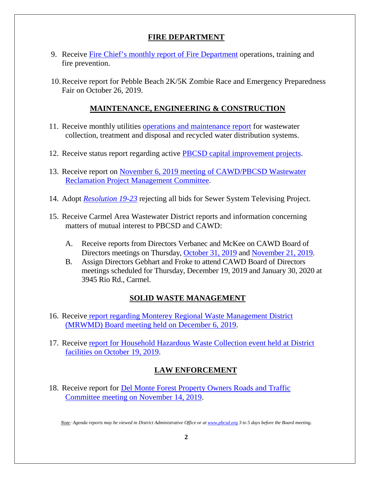## **FIRE DEPARTMENT**

- 9. Receive [Fire Chief's monthly report of Fire Department](http://pbcsd.org/wp-content/uploads/pbcsd/meetings/board/2019/2019-12-13/09-Fire-Department-Monthly-Report.pdf) operations, training and fire prevention.
- 10.Receive report for Pebble Beach 2K/5K Zombie Race and Emergency Preparedness Fair on October 26, 2019.

## **MAINTENANCE, ENGINEERING & CONSTRUCTION**

- 11. Receive monthly utilities [operations and maintenance report](http://pbcsd.org/wp-content/uploads/pbcsd/meetings/board/2019/2019-12-13/11-Operations-Maintenance-Report-for-December-2019.pdf) for wastewater collection, treatment and disposal and recycled water distribution systems.
- 12. Receive status report regarding active [PBCSD capital improvement projects.](http://pbcsd.org/wp-content/uploads/pbcsd/meetings/board/2019/2019-12-13/12-Capital-Improvement-Projects-Report.pdf)
- 13. Receive report on [November 6, 2019 meeting of CAWD/PBCSD Wastewater](http://pbcsd.org/wp-content/uploads/pbcsd/meetings/board/2019/2019-12-13/13-Reclamation-Management-Committee-Meeting-Report.pdf)  [Reclamation Project Management Committee.](http://pbcsd.org/wp-content/uploads/pbcsd/meetings/board/2019/2019-12-13/13-Reclamation-Management-Committee-Meeting-Report.pdf)
- 14. Adopt *[Resolution 19-23](http://pbcsd.org/wp-content/uploads/pbcsd/meetings/board/2019/2019-12-13/14-RES-19-23-Rejecting-All-Bids-for-Sewer-System-Televising-Project.pdf)* rejecting all bids for Sewer System Televising Project.
- 15. Receive Carmel Area Wastewater District reports and information concerning matters of mutual interest to PBCSD and CAWD:
	- A. Receive reports from Directors Verbanec and McKee on CAWD Board of Directors meetings on Thursday, [October 31, 2019](http://pbcsd.org/wp-content/uploads/pbcsd/meetings/board/2019/2019-12-13/15a-CAWD-Regular-Board-Meeting-Agenda-Reports-for-October-2019.pdf) and [November 21, 2019.](http://pbcsd.org/wp-content/uploads/pbcsd/meetings/board/2019/2019-12-13/15b-CAWD-Regular-Board-Meeting-Agenda-Reports-for-November-2019.pdf)
	- B. Assign Directors Gebhart and Froke to attend CAWD Board of Directors meetings scheduled for Thursday, December 19, 2019 and January 30, 2020 at 3945 Rio Rd., Carmel.

# **SOLID WASTE MANAGEMENT**

- 16. Receive [report regarding Monterey Regional Waste Management District](http://pbcsd.org/wp-content/uploads/pbcsd/meetings/board/2019/2019-12-13/16-MRWMD-Board-Meeting-Agenda.pdf)  [\(MRWMD\) Board meeting held on December 6, 2019.](http://pbcsd.org/wp-content/uploads/pbcsd/meetings/board/2019/2019-12-13/16-MRWMD-Board-Meeting-Agenda.pdf)
- 17. Receive [report for Household Hazardous Waste Collection event held at District](http://pbcsd.org/wp-content/uploads/pbcsd/meetings/board/2019/2019-12-13/17-HHW-and-E-Waste-Collection-Event.pdf)  [facilities on October 19, 2019.](http://pbcsd.org/wp-content/uploads/pbcsd/meetings/board/2019/2019-12-13/17-HHW-and-E-Waste-Collection-Event.pdf)

# **LAW ENFORCEMENT**

18. Receive report for **Del Monte Forest Property Owners Roads and Traffic** [Committee meeting on](http://pbcsd.org/wp-content/uploads/pbcsd/meetings/board/2019/2019-12-13/18-DMFPO-Roads-Traffic-Committee-meeting-packet.pdf) November 14, 2019.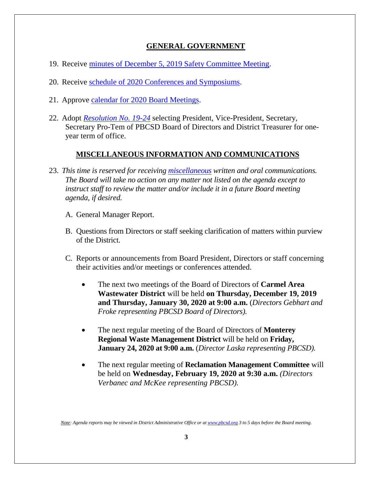## **GENERAL GOVERNMENT**

- 19. Receive minutes of December 5, 2019 [Safety Committee Meeting.](http://pbcsd.org/wp-content/uploads/pbcsd/meetings/board/2019/2019-12-13/19-Safety-Committee-Mtg-Minutes-for-12-05-2019.pdf)
- 20. Receive schedule of 2020 [Conferences and Symposiums.](http://pbcsd.org/wp-content/uploads/pbcsd/meetings/board/2019/2019-12-13/20-2020-Conference-Schedule.pdf)
- 21. Approve [calendar for 2020](http://pbcsd.org/wp-content/uploads/pbcsd/meetings/board/2019/2019-12-13/21-PBCSD-2020-Board-Meeting-Dates.pdf) Board Meetings.
- 22. Adopt *[Resolution No. 19-24](http://pbcsd.org/wp-content/uploads/pbcsd/meetings/board/2019/2019-12-13/22-RES-19-24-Board-Election-of-Officers.pdf)* selecting President, Vice-President, Secretary, Secretary Pro-Tem of PBCSD Board of Directors and District Treasurer for oneyear term of office.

#### **MISCELLANEOUS INFORMATION AND COMMUNICATIONS**

- 23. *This time is reserved for receiving [miscellaneous](http://pbcsd.org/wp-content/uploads/pbcsd/meetings/board/2019/2019-12-13/23-Miscellaneous-ACWA-JPIA-Presidents-Special-Recognition-Awards.pdf) written and oral communications. The Board will take no action on any matter not listed on the agenda except to instruct staff to review the matter and/or include it in a future Board meeting agenda, if desired.*
	- A. General Manager Report.
	- B. Questions from Directors or staff seeking clarification of matters within purview of the District.
	- C. Reports or announcements from Board President, Directors or staff concerning their activities and/or meetings or conferences attended.
		- The next two meetings of the Board of Directors of **Carmel Area Wastewater District** will be held **on Thursday, December 19, 2019 and Thursday, January 30, 2020 at 9:00 a.m.** (*Directors Gebhart and Froke representing PBCSD Board of Directors).*
		- The next regular meeting of the Board of Directors of **Monterey Regional Waste Management District** will be held on **Friday, January 24, 2020 at 9:00 a.m.** (*Director Laska representing PBCSD).*
		- The next regular meeting of **Reclamation Management Committee** will be held on **Wednesday, February 19, 2020 at 9:30 a.m.** *(Directors Verbanec and McKee representing PBCSD).*